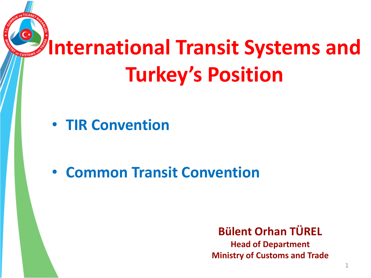# **International Transit Systems and Turkey's Position**

• **TIR Convention**

• **Common Transit Convention**

**Bülent Orhan TÜREL**

**Head of Department Ministry of Customs and Trade**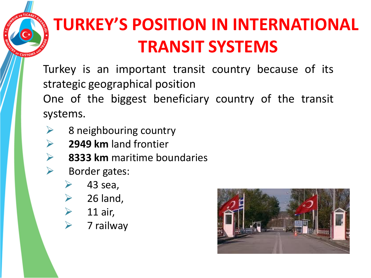# **TURKEY'S POSITION IN INTERNATIONAL TRANSIT SYSTEMS**

Turkey is an important transit country because of its strategic geographical position One of the biggest beneficiary country of the transit

systems.

**CUST** 

- $\triangleright$  8 neighbouring country
- **2949 km** land frontier
- **8333 km** maritime boundaries
- Border gates:
	- 43 sea,
	- $\geq$  26 land,
	- $\triangleright$  11 air,
	- $\triangleright$  7 railway

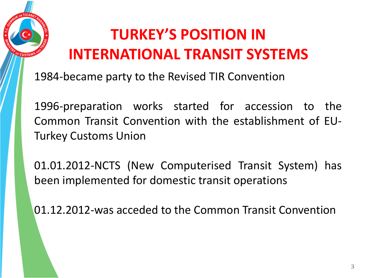

### **TURKEY'S POSITION IN INTERNATIONAL TRANSIT SYSTEMS**

1984-became party to the Revised TIR Convention

1996-preparation works started for accession to the Common Transit Convention with the establishment of EU-Turkey Customs Union

01.01.2012-NCTS (New Computerised Transit System) has been implemented for domestic transit operations

01.12.2012-was acceded to the Common Transit Convention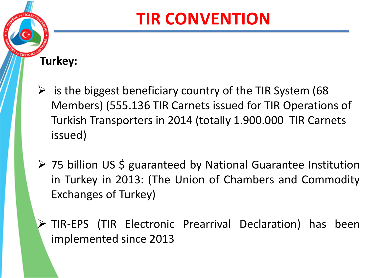## **TIR CONVENTION**

#### **Turkey:**

CUSTO

- $\triangleright$  is the biggest beneficiary country of the TIR System (68) Members) (555.136 TIR Carnets issued for TIR Operations of Turkish Transporters in 2014 (totally 1.900.000 TIR Carnets issued)
- ▶ 75 billion US \$ guaranteed by National Guarantee Institution in Turkey in 2013: (The Union of Chambers and Commodity Exchanges of Turkey)
- TIR-EPS (TIR Electronic Prearrival Declaration) has been implemented since 2013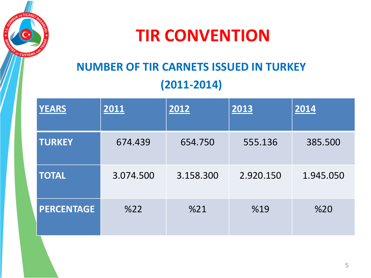

### **TIR CONVENTION**

### **NUMBER OF TIR CARNETS ISSUED IN TURKEY (2011-2014)**

| <b>YEARS</b>      | 2011      | 2012      | 2013      | 2014      |
|-------------------|-----------|-----------|-----------|-----------|
| <b>TURKEY</b>     | 674.439   | 654.750   | 555.136   | 385.500   |
| <b>TOTAL</b>      | 3.074.500 | 3.158.300 | 2.920.150 | 1.945.050 |
| <b>PERCENTAGE</b> | %22       | %21       | %19       | %20       |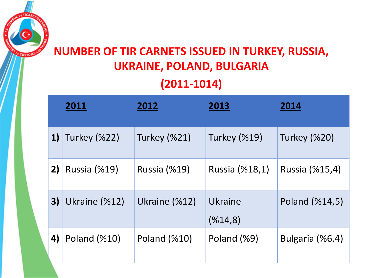#### **NUMBER OF TIR CARNETS ISSUED IN TURKEY, RUSSIA, UKRAINE, POLAND, BULGARIA (2011-1014)**

<sup>2</sup> CUSTO

|    | 2011                | 2012                | 2013               | 2014                |
|----|---------------------|---------------------|--------------------|---------------------|
| 1) | <b>Turkey (%22)</b> | <b>Turkey (%21)</b> | Turkey (%19)       | <b>Turkey (%20)</b> |
| 2) | <b>Russia (%19)</b> | <b>Russia (%19)</b> | Russia (%18,1)     | Russia (%15,4)      |
| 3) | Ukraine (%12)       | Ukraine (%12)       | Ukraine<br>(%14,8) | Poland (%14,5)      |
| 4) | Poland (%10)        | Poland (%10)        | Poland (%9)        | Bulgaria (%6,4)     |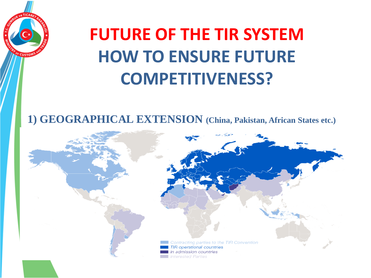

# **FUTURE OF THE TIR SYSTEM HOW TO ENSURE FUTURE COMPETITIVENESS?**

**1) GEOGRAPHICAL EXTENSION (China, Pakistan, African States etc.)**

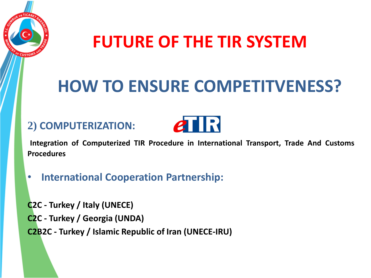

### **FUTURE OF THE TIR SYSTEM**

## **HOW TO ENSURE COMPETITVENESS?**

#### **2) COMPUTERIZATION:**



**Integration of Computerized TIR Procedure in International Transport, Trade And Customs Procedures**

• **International Cooperation Partnership:**

**C2C - Turkey / Italy (UNECE) C2C - Turkey / Georgia (UNDA) C2B2C - Turkey / Islamic Republic of Iran (UNECE-IRU)**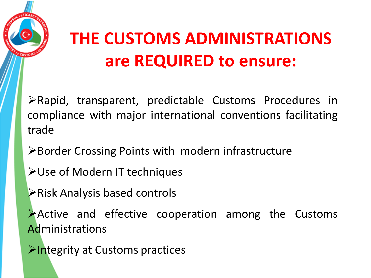

# **THE CUSTOMS ADMINISTRATIONS are REQUIRED to ensure:**

Rapid, transparent, predictable Customs Procedures in compliance with major international conventions facilitating trade

**≻Border Crossing Points with modern infrastructure** 

- Use of Modern IT techniques
- Risk Analysis based controls

Active and effective cooperation among the Customs Administrations

 $\triangleright$  Integrity at Customs practices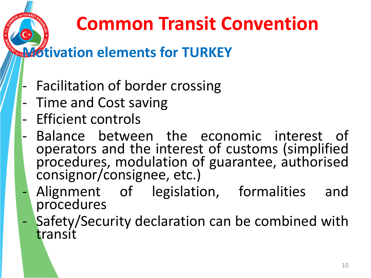# **Common Transit Convention**

### **Motivation elements for TURKEY**

- Facilitation of border crossing
- Time and Cost saving
- Efficient controls
- Balance between the economic interest of operators and the interest of customs (simplified procedures, modulation of guarantee, authorised consignor/consignee, etc.)
- Alignment of legislation, formalities and procedures
- Safety/Security declaration can be combined with transit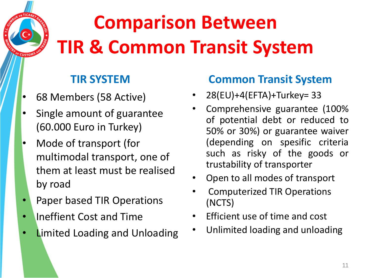# **Comparison Between TIR & Common Transit System**

#### **TIR SYSTEM**

• 68 Members (58 Active)

CUSTO

- Single amount of guarantee (60.000 Euro in Turkey)
- Mode of transport (for multimodal transport, one of them at least must be realised by road
- Paper based TIR Operations
- Ineffient Cost and Time
- **Limited Loading and Unloading**

#### **Common Transit System**

- 28(EU)+4(EFTA)+Turkey= 33
- Comprehensive guarantee (100% of potential debt or reduced to 50% or 30%) or guarantee waiver (depending on spesific criteria such as risky of the goods or trustability of transporter
- Open to all modes of transport
- Computerized TIR Operations (NCTS)
- Efficient use of time and cost
- Unlimited loading and unloading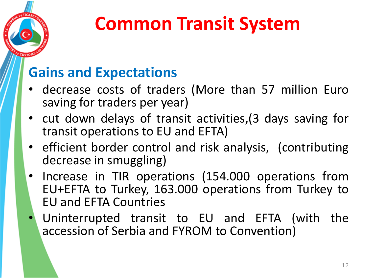

# **Common Transit System**

### **Gains and Expectations**

- decrease costs of traders (More than 57 million Euro saving for traders per year)
- cut down delays of transit activities,(3 days saving for transit operations to EU and EFTA)
- efficient border control and risk analysis, (contributing decrease in smuggling)
- Increase in TIR operations (154.000 operations from EU+EFTA to Turkey, 163.000 operations from Turkey to EU and EFTA Countries
- Uninterrupted transit to EU and EFTA (with the accession of Serbia and FYROM to Convention)